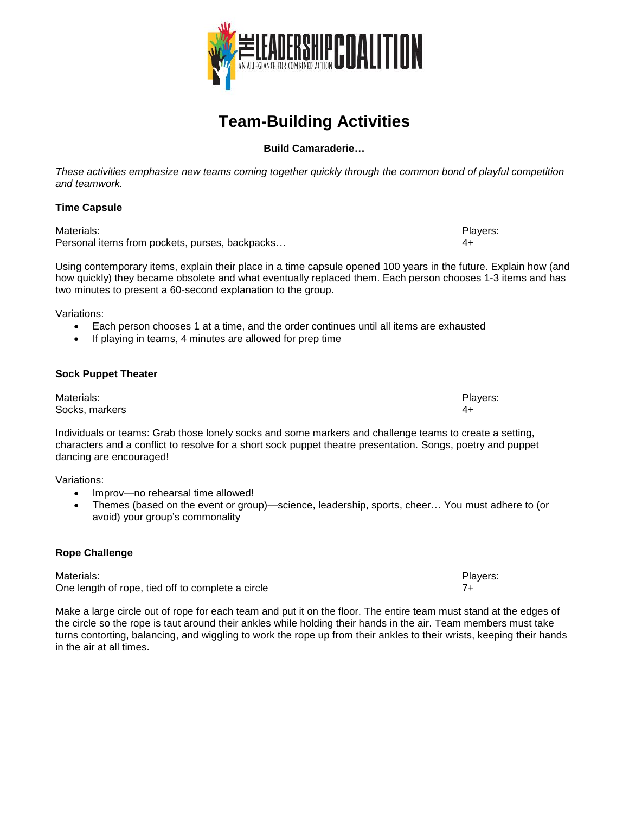

# **Team-Building Activities**

## **Build Camaraderie…**

*These activities emphasize new teams coming together quickly through the common bond of playful competition and teamwork.* 

## **Time Capsule**

Materials: Players: Personal items from pockets, purses, backpacks… 4+

Using contemporary items, explain their place in a time capsule opened 100 years in the future. Explain how (and how quickly) they became obsolete and what eventually replaced them. Each person chooses 1-3 items and has two minutes to present a 60-second explanation to the group.

Variations:

- Each person chooses 1 at a time, and the order continues until all items are exhausted
- If playing in teams, 4 minutes are allowed for prep time

### **Sock Puppet Theater**

## Materials: Players: Socks, markers 4+

Individuals or teams: Grab those lonely socks and some markers and challenge teams to create a setting, characters and a conflict to resolve for a short sock puppet theatre presentation. Songs, poetry and puppet dancing are encouraged!

Variations:

- Improv—no rehearsal time allowed!
- Themes (based on the event or group)—science, leadership, sports, cheer… You must adhere to (or avoid) your group's commonality

## **Rope Challenge**

Materials: Players: One length of rope, tied off to complete a circle 7+

Make a large circle out of rope for each team and put it on the floor. The entire team must stand at the edges of the circle so the rope is taut around their ankles while holding their hands in the air. Team members must take turns contorting, balancing, and wiggling to work the rope up from their ankles to their wrists, keeping their hands in the air at all times.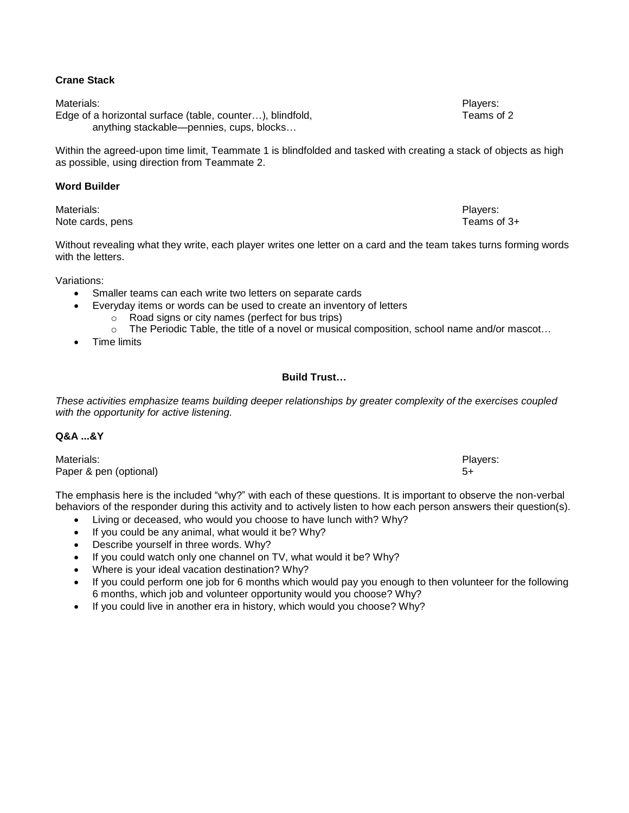#### **Crane Stack**

Materials: Players:

Edge of a horizontal surface (table, counter...), blindfold, The Controller and Solid Teams of 2 anything stackable—pennies, cups, blocks…

Within the agreed-upon time limit, Teammate 1 is blindfolded and tasked with creating a stack of objects as high as possible, using direction from Teammate 2.

#### **Word Builder**

Materials: Players: Note cards, pens Teams of 3+

Without revealing what they write, each player writes one letter on a card and the team takes turns forming words with the letters

Variations:

- Smaller teams can each write two letters on separate cards
- Everyday items or words can be used to create an inventory of letters
	- o Road signs or city names (perfect for bus trips)
	- $\circ$  The Periodic Table, the title of a novel or musical composition, school name and/or mascot...
- Time limits

#### **Build Trust…**

*These activities emphasize teams building deeper relationships by greater complexity of the exercises coupled with the opportunity for active listening.* 

#### **Q&A ...&Y**

Materials: Players: Paper & pen (optional) 5+

The emphasis here is the included "why?" with each of these questions. It is important to observe the non-verbal behaviors of the responder during this activity and to actively listen to how each person answers their question(s).

- Living or deceased, who would you choose to have lunch with? Why?
- If you could be any animal, what would it be? Why?
- Describe yourself in three words. Why?
- If you could watch only one channel on TV, what would it be? Why?
- Where is your ideal vacation destination? Why?
- If you could perform one job for 6 months which would pay you enough to then volunteer for the following 6 months, which job and volunteer opportunity would you choose? Why?
- If you could live in another era in history, which would you choose? Why?